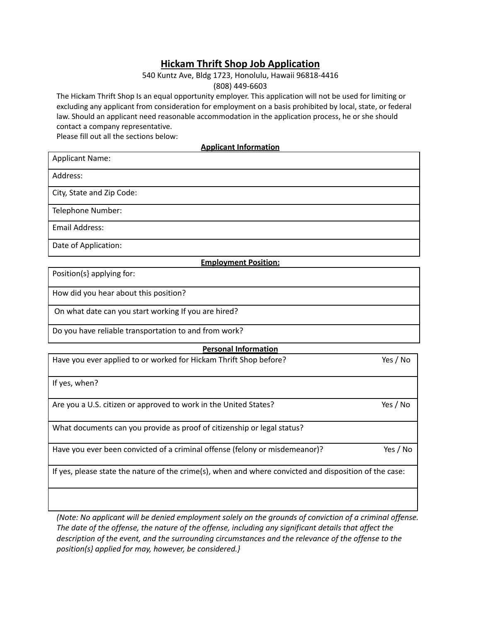# **Hickam Thrift Shop Job Application**

## 540 Kuntz Ave, Bldg 1723, Honolulu, Hawaii 96818-4416

(808) 449-6603

The Hickam Thrift Shop Is an equal opportunity employer. This application will not be used for limiting or excluding any applicant from consideration for employment on a basis prohibited by local, state, or federal law. Should an applicant need reasonable accommodation in the application process, he or she should contact a company representative.

Please fill out all the sections below:

**Applicant Information**

Applicant Name:

Address:

City, State and Zip Code:

Telephone Number:

Email Address:

Date of Application:

#### **Employment Position:**

Position(s} applying for:

How did you hear about this position?

On what date can you start working If you are hired?

Do you have reliable transportation to and from work?

#### **Personal Information**

| Have you ever applied to or worked for Hickam Thrift Shop before?                                      | Yes / No |
|--------------------------------------------------------------------------------------------------------|----------|
| If yes, when?                                                                                          |          |
| Are you a U.S. citizen or approved to work in the United States?                                       | Yes / No |
| What documents can you provide as proof of citizenship or legal status?                                |          |
| Have you ever been convicted of a criminal offense (felony or misdemeanor)?                            | Yes / No |
| If yes, please state the nature of the crime(s), when and where convicted and disposition of the case: |          |
|                                                                                                        |          |

*(Note: No applicant will be denied employment solely on the grounds of conviction of a criminal offense. The date of the offense, the nature of the offense, including any significant details that affect the description of the event, and the surrounding circumstances and the relevance of the offense to the position(s} applied for may, however, be considered.}*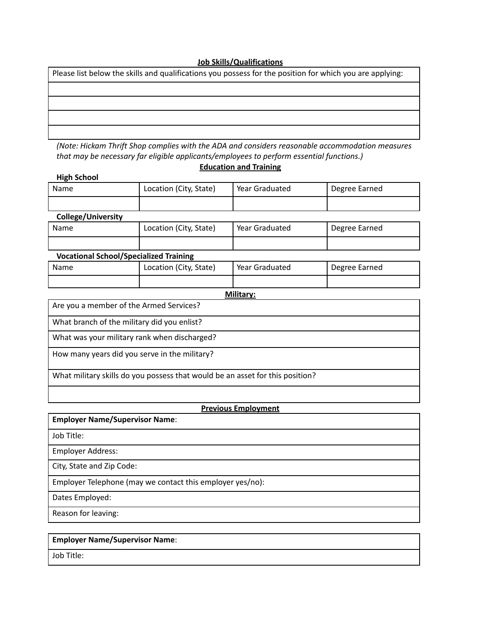#### **Job Skills/Qualifications**

| Please list below the skills and qualifications you possess for the position for which you are applying: |  |  |
|----------------------------------------------------------------------------------------------------------|--|--|
|                                                                                                          |  |  |
|                                                                                                          |  |  |
|                                                                                                          |  |  |
|                                                                                                          |  |  |

*(Note: Hickam Thrift Shop complies with the ADA and considers reasonable accommodation measures that may be necessary far eligible applicants/employees to perform essential functions.)*

## **Education and Training**

| <b>HIRII SCHOOL</b>       |                        |                |               |
|---------------------------|------------------------|----------------|---------------|
| Name                      | Location (City, State) | Year Graduated | Degree Earned |
|                           |                        |                |               |
| <b>College/University</b> |                        |                |               |
|                           |                        |                |               |

| Name | Location (City, State) | Year Graduated | Degree Earned |
|------|------------------------|----------------|---------------|
|      |                        |                |               |

| <b>Vocational School/Specialized Training</b> |                        |                |               |
|-----------------------------------------------|------------------------|----------------|---------------|
| Name                                          | Location (City, State) | Year Graduated | Degree Earned |
|                                               |                        |                |               |

**Military:**

Are you a member of the Armed Services?

What branch of the military did you enlist?

What was your military rank when discharged?

How many years did you serve in the military?

What military skills do you possess that would be an asset for this position?

## **Previous Employment**

**Employer Name/Supervisor Name**:

Job Title:

Employer Address:

**High School**

City, State and Zip Code:

Employer Telephone (may we contact this employer yes/no):

Dates Employed:

Reason for leaving:

## **Employer Name/Supervisor Name**:

Job Title: